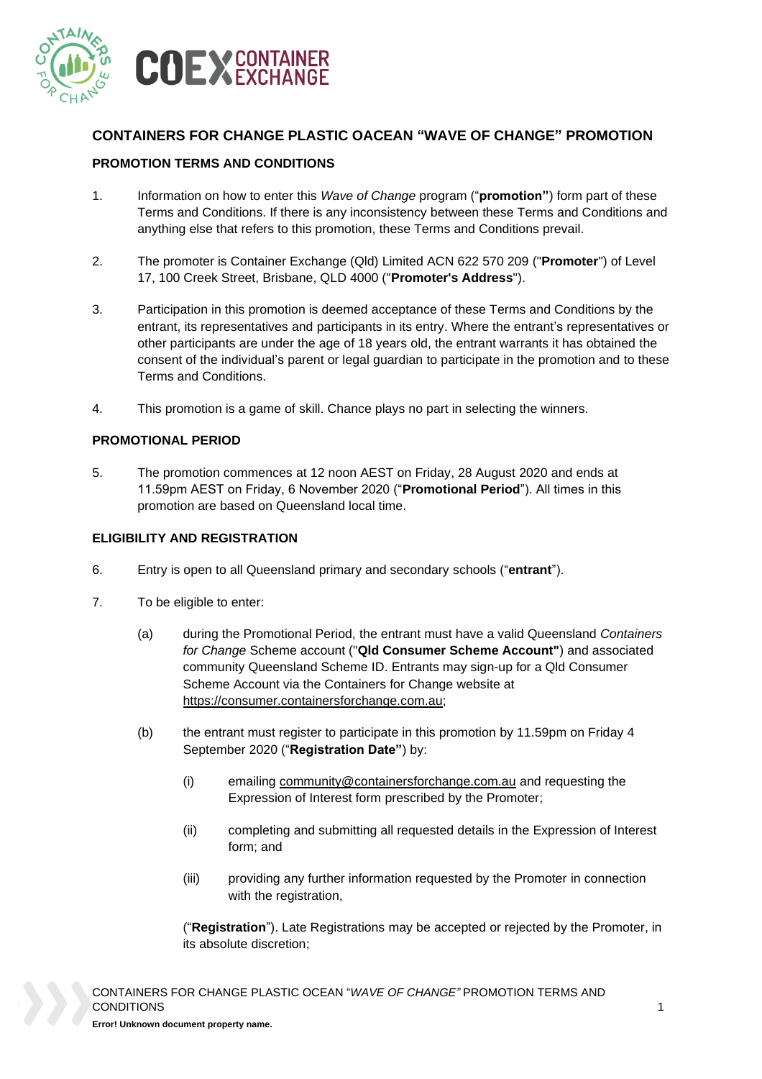

# **CONTAINERS FOR CHANGE PLASTIC OACEAN "WAVE OF CHANGE" PROMOTION**

#### **PROMOTION TERMS AND CONDITIONS**

- 1. Information on how to enter this *Wave of Change* program ("**promotion"**) form part of these Terms and Conditions. If there is any inconsistency between these Terms and Conditions and anything else that refers to this promotion, these Terms and Conditions prevail.
- 2. The promoter is Container Exchange (Qld) Limited ACN 622 570 209 ("**Promoter**") of Level 17, 100 Creek Street, Brisbane, QLD 4000 ("**Promoter's Address**").
- 3. Participation in this promotion is deemed acceptance of these Terms and Conditions by the entrant, its representatives and participants in its entry. Where the entrant's representatives or other participants are under the age of 18 years old, the entrant warrants it has obtained the consent of the individual's parent or legal guardian to participate in the promotion and to these Terms and Conditions.
- 4. This promotion is a game of skill. Chance plays no part in selecting the winners.

#### **PROMOTIONAL PERIOD**

5. The promotion commences at 12 noon AEST on Friday, 28 August 2020 and ends at 11.59pm AEST on Friday, 6 November 2020 ("**Promotional Period**"). All times in this promotion are based on Queensland local time.

#### **ELIGIBILITY AND REGISTRATION**

- 6. Entry is open to all Queensland primary and secondary schools ("**entrant**").
- 7. To be eligible to enter:
	- (a) during the Promotional Period, the entrant must have a valid Queensland *Containers for Change* Scheme account ("**Qld Consumer Scheme Account"**) and associated community Queensland Scheme ID. Entrants may sign-up for a Qld Consumer Scheme Account via the Containers for Change website at [https://consumer.containersforchange.com.au;](https://consumer.containersforchange.com.au/)
	- (b) the entrant must register to participate in this promotion by 11.59pm on Friday 4 September 2020 ("**Registration Date"**) by:
		- (i) emailing [community@containersforchange.com.au](mailto:community@containersforchange.com.au) and requesting the Expression of Interest form prescribed by the Promoter;
		- (ii) completing and submitting all requested details in the Expression of Interest form; and
		- (iii) providing any further information requested by the Promoter in connection with the registration,

("**Registration**"). Late Registrations may be accepted or rejected by the Promoter, in its absolute discretion;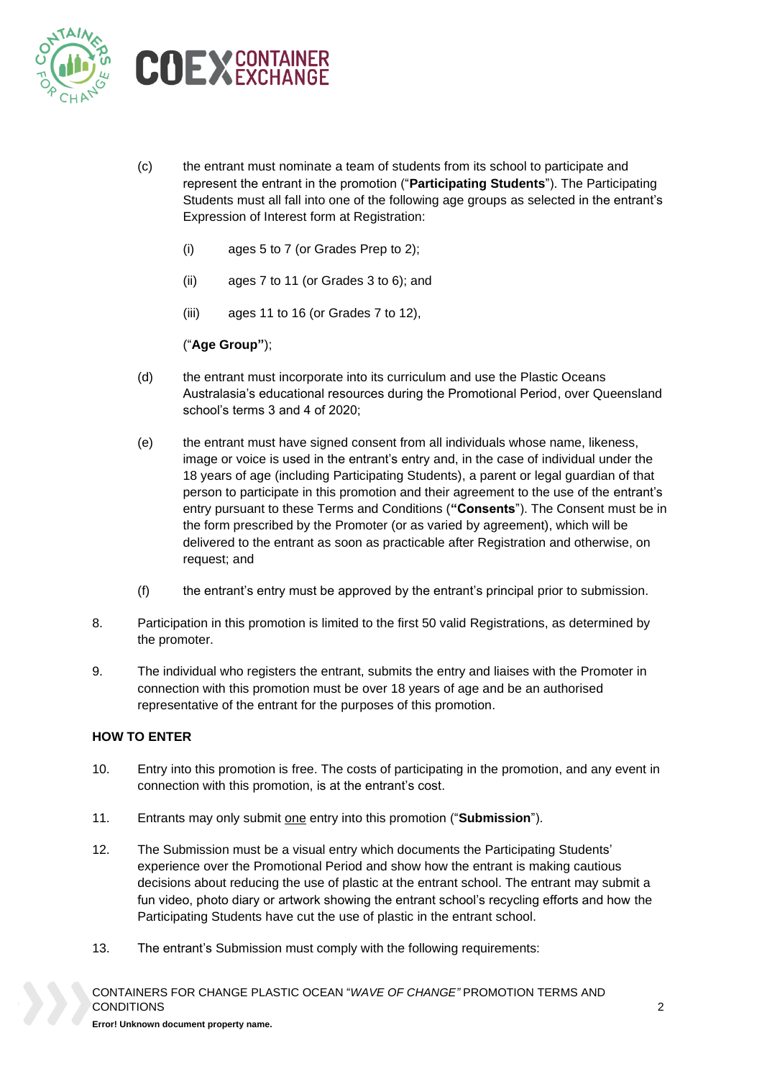



- (c) the entrant must nominate a team of students from its school to participate and represent the entrant in the promotion ("**Participating Students**"). The Participating Students must all fall into one of the following age groups as selected in the entrant's Expression of Interest form at Registration:
	- (i) ages 5 to 7 (or Grades Prep to 2);
	- (ii) ages 7 to 11 (or Grades 3 to 6); and
	- (iii) ages 11 to 16 (or Grades 7 to 12),

## ("**Age Group"**);

- (d) the entrant must incorporate into its curriculum and use the Plastic Oceans Australasia's educational resources during the Promotional Period, over Queensland school's terms 3 and 4 of 2020;
- (e) the entrant must have signed consent from all individuals whose name, likeness, image or voice is used in the entrant's entry and, in the case of individual under the 18 years of age (including Participating Students), a parent or legal guardian of that person to participate in this promotion and their agreement to the use of the entrant's entry pursuant to these Terms and Conditions (**"Consents**"). The Consent must be in the form prescribed by the Promoter (or as varied by agreement), which will be delivered to the entrant as soon as practicable after Registration and otherwise, on request; and
- (f) the entrant's entry must be approved by the entrant's principal prior to submission.
- 8. Participation in this promotion is limited to the first 50 valid Registrations, as determined by the promoter.
- 9. The individual who registers the entrant, submits the entry and liaises with the Promoter in connection with this promotion must be over 18 years of age and be an authorised representative of the entrant for the purposes of this promotion.

## **HOW TO ENTER**

- 10. Entry into this promotion is free. The costs of participating in the promotion, and any event in connection with this promotion, is at the entrant's cost.
- 11. Entrants may only submit one entry into this promotion ("**Submission**").
- 12. The Submission must be a visual entry which documents the Participating Students' experience over the Promotional Period and show how the entrant is making cautious decisions about reducing the use of plastic at the entrant school. The entrant may submit a fun video, photo diary or artwork showing the entrant school's recycling efforts and how the Participating Students have cut the use of plastic in the entrant school.
- 13. The entrant's Submission must comply with the following requirements: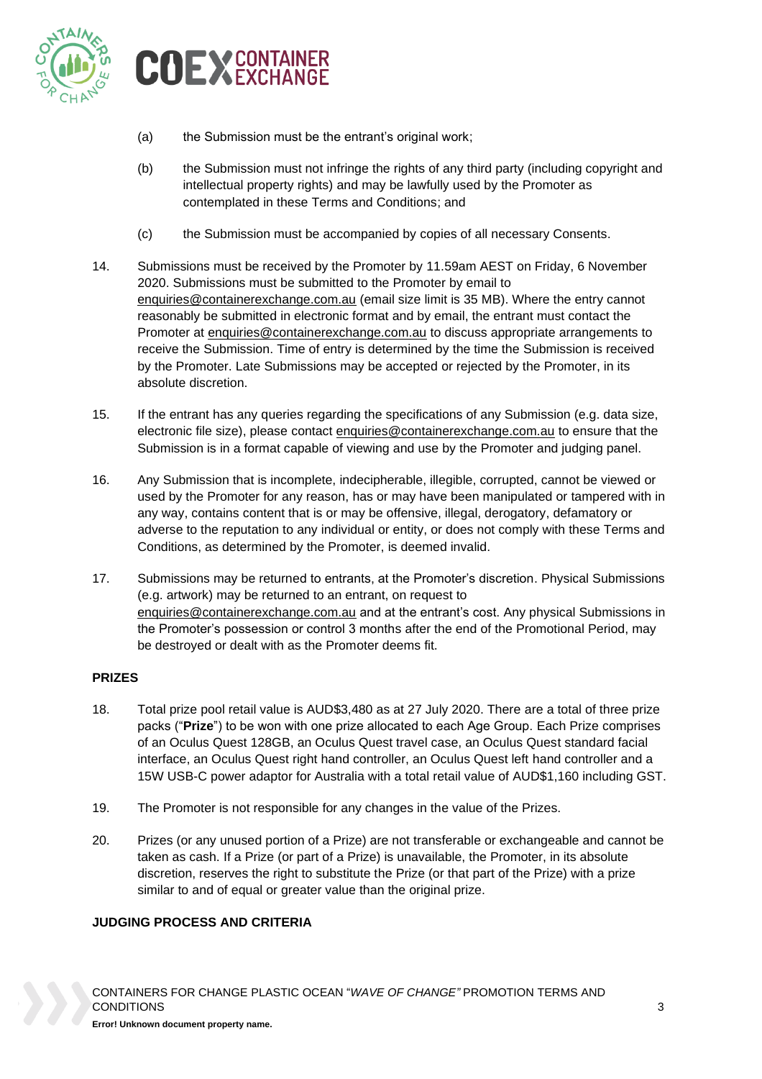



- (a) the Submission must be the entrant's original work;
- (b) the Submission must not infringe the rights of any third party (including copyright and intellectual property rights) and may be lawfully used by the Promoter as contemplated in these Terms and Conditions; and
- (c) the Submission must be accompanied by copies of all necessary Consents.
- 14. Submissions must be received by the Promoter by 11.59am AEST on Friday, 6 November 2020. Submissions must be submitted to the Promoter by email to [enquiries@containerexchange.com.au](mailto:enquiries@containerexchange.com.au) (email size limit is 35 MB). Where the entry cannot reasonably be submitted in electronic format and by email, the entrant must contact the Promoter at [enquiries@containerexchange.com.au](mailto:enquiries@containerexchange.com.au) to discuss appropriate arrangements to receive the Submission. Time of entry is determined by the time the Submission is received by the Promoter. Late Submissions may be accepted or rejected by the Promoter, in its absolute discretion.
- 15. If the entrant has any queries regarding the specifications of any Submission (e.g. data size, electronic file size), please contact [enquiries@containerexchange.com.au](mailto:enquiries@containerexchange.com.au) to ensure that the Submission is in a format capable of viewing and use by the Promoter and judging panel.
- 16. Any Submission that is incomplete, indecipherable, illegible, corrupted, cannot be viewed or used by the Promoter for any reason, has or may have been manipulated or tampered with in any way, contains content that is or may be offensive, illegal, derogatory, defamatory or adverse to the reputation to any individual or entity, or does not comply with these Terms and Conditions, as determined by the Promoter, is deemed invalid.
- 17. Submissions may be returned to entrants, at the Promoter's discretion. Physical Submissions (e.g. artwork) may be returned to an entrant, on request to [enquiries@containerexchange.com.au](mailto:enquiries@containerexchange.com.au) and at the entrant's cost. Any physical Submissions in the Promoter's possession or control 3 months after the end of the Promotional Period, may be destroyed or dealt with as the Promoter deems fit.

## **PRIZES**

- 18. Total prize pool retail value is AUD\$3,480 as at 27 July 2020. There are a total of three prize packs ("**Prize**") to be won with one prize allocated to each Age Group. Each Prize comprises of an Oculus Quest 128GB, an Oculus Quest travel case, an Oculus Quest standard facial interface, an Oculus Quest right hand controller, an Oculus Quest left hand controller and a 15W USB-C power adaptor for Australia with a total retail value of AUD\$1,160 including GST.
- 19. The Promoter is not responsible for any changes in the value of the Prizes.
- 20. Prizes (or any unused portion of a Prize) are not transferable or exchangeable and cannot be taken as cash. If a Prize (or part of a Prize) is unavailable, the Promoter, in its absolute discretion, reserves the right to substitute the Prize (or that part of the Prize) with a prize similar to and of equal or greater value than the original prize.

## **JUDGING PROCESS AND CRITERIA**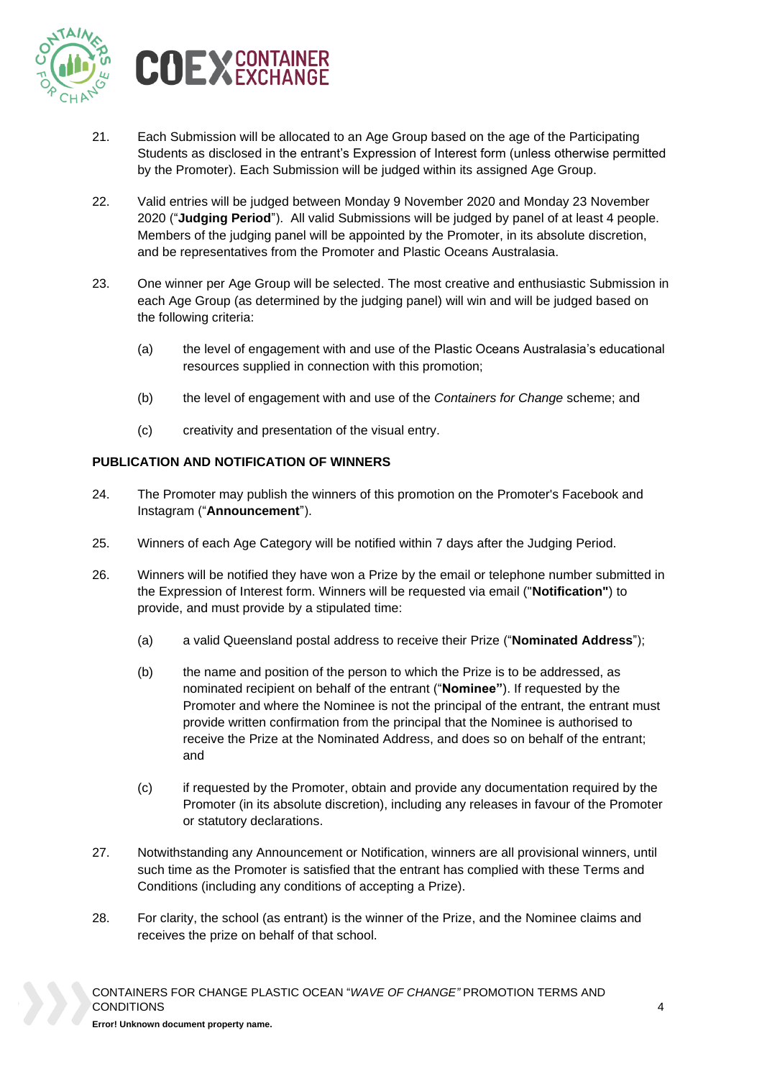



- 21. Each Submission will be allocated to an Age Group based on the age of the Participating Students as disclosed in the entrant's Expression of Interest form (unless otherwise permitted by the Promoter). Each Submission will be judged within its assigned Age Group.
- 22. Valid entries will be judged between Monday 9 November 2020 and Monday 23 November 2020 ("**Judging Period**"). All valid Submissions will be judged by panel of at least 4 people. Members of the judging panel will be appointed by the Promoter, in its absolute discretion, and be representatives from the Promoter and Plastic Oceans Australasia.
- 23. One winner per Age Group will be selected. The most creative and enthusiastic Submission in each Age Group (as determined by the judging panel) will win and will be judged based on the following criteria:
	- (a) the level of engagement with and use of the Plastic Oceans Australasia's educational resources supplied in connection with this promotion;
	- (b) the level of engagement with and use of the *Containers for Change* scheme; and
	- (c) creativity and presentation of the visual entry.

### **PUBLICATION AND NOTIFICATION OF WINNERS**

- 24. The Promoter may publish the winners of this promotion on the Promoter's Facebook and Instagram ("**Announcement**").
- 25. Winners of each Age Category will be notified within 7 days after the Judging Period.
- <span id="page-3-0"></span>26. Winners will be notified they have won a Prize by the email or telephone number submitted in the Expression of Interest form. Winners will be requested via email ("**Notification"**) to provide, and must provide by a stipulated time:
	- (a) a valid Queensland postal address to receive their Prize ("**Nominated Address**");
	- (b) the name and position of the person to which the Prize is to be addressed, as nominated recipient on behalf of the entrant ("**Nominee"**). If requested by the Promoter and where the Nominee is not the principal of the entrant, the entrant must provide written confirmation from the principal that the Nominee is authorised to receive the Prize at the Nominated Address, and does so on behalf of the entrant; and
	- (c) if requested by the Promoter, obtain and provide any documentation required by the Promoter (in its absolute discretion), including any releases in favour of the Promoter or statutory declarations.
- 27. Notwithstanding any Announcement or Notification, winners are all provisional winners, until such time as the Promoter is satisfied that the entrant has complied with these Terms and Conditions (including any conditions of accepting a Prize).
- 28. For clarity, the school (as entrant) is the winner of the Prize, and the Nominee claims and receives the prize on behalf of that school.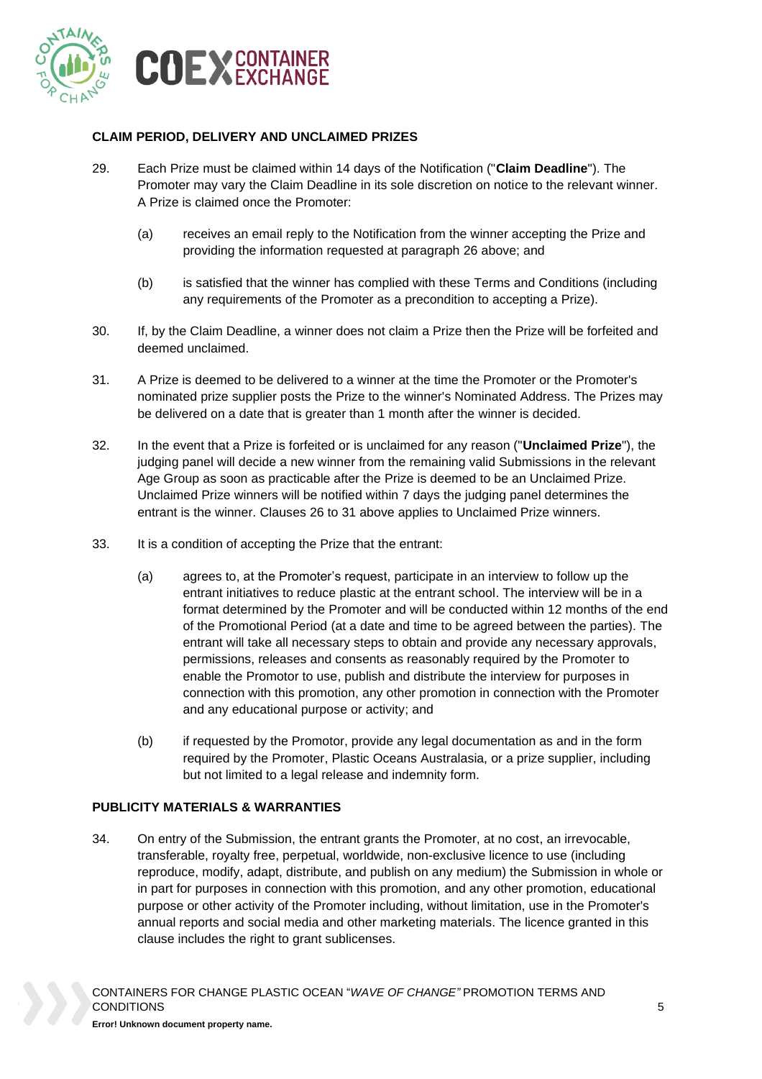

### **CLAIM PERIOD, DELIVERY AND UNCLAIMED PRIZES**

- 29. Each Prize must be claimed within 14 days of the Notification ("**Claim Deadline**"). The Promoter may vary the Claim Deadline in its sole discretion on notice to the relevant winner. A Prize is claimed once the Promoter:
	- (a) receives an email reply to the Notification from the winner accepting the Prize and providing the information requested at paragraph [26](#page-3-0) above; and
	- (b) is satisfied that the winner has complied with these Terms and Conditions (including any requirements of the Promoter as a precondition to accepting a Prize).
- 30. If, by the Claim Deadline, a winner does not claim a Prize then the Prize will be forfeited and deemed unclaimed.
- <span id="page-4-0"></span>31. A Prize is deemed to be delivered to a winner at the time the Promoter or the Promoter's nominated prize supplier posts the Prize to the winner's Nominated Address. The Prizes may be delivered on a date that is greater than 1 month after the winner is decided.
- 32. In the event that a Prize is forfeited or is unclaimed for any reason ("**Unclaimed Prize**"), the judging panel will decide a new winner from the remaining valid Submissions in the relevant Age Group as soon as practicable after the Prize is deemed to be an Unclaimed Prize. Unclaimed Prize winners will be notified within 7 days the judging panel determines the entrant is the winner. Clauses [26](#page-3-0) to [31](#page-4-0) above applies to Unclaimed Prize winners.
- 33. It is a condition of accepting the Prize that the entrant:
	- (a) agrees to, at the Promoter's request, participate in an interview to follow up the entrant initiatives to reduce plastic at the entrant school. The interview will be in a format determined by the Promoter and will be conducted within 12 months of the end of the Promotional Period (at a date and time to be agreed between the parties). The entrant will take all necessary steps to obtain and provide any necessary approvals, permissions, releases and consents as reasonably required by the Promoter to enable the Promotor to use, publish and distribute the interview for purposes in connection with this promotion, any other promotion in connection with the Promoter and any educational purpose or activity; and
	- (b) if requested by the Promotor, provide any legal documentation as and in the form required by the Promoter, Plastic Oceans Australasia, or a prize supplier, including but not limited to a legal release and indemnity form.

# **PUBLICITY MATERIALS & WARRANTIES**

34. On entry of the Submission, the entrant grants the Promoter, at no cost, an irrevocable, transferable, royalty free, perpetual, worldwide, non-exclusive licence to use (including reproduce, modify, adapt, distribute, and publish on any medium) the Submission in whole or in part for purposes in connection with this promotion, and any other promotion, educational purpose or other activity of the Promoter including, without limitation, use in the Promoter's annual reports and social media and other marketing materials. The licence granted in this clause includes the right to grant sublicenses.

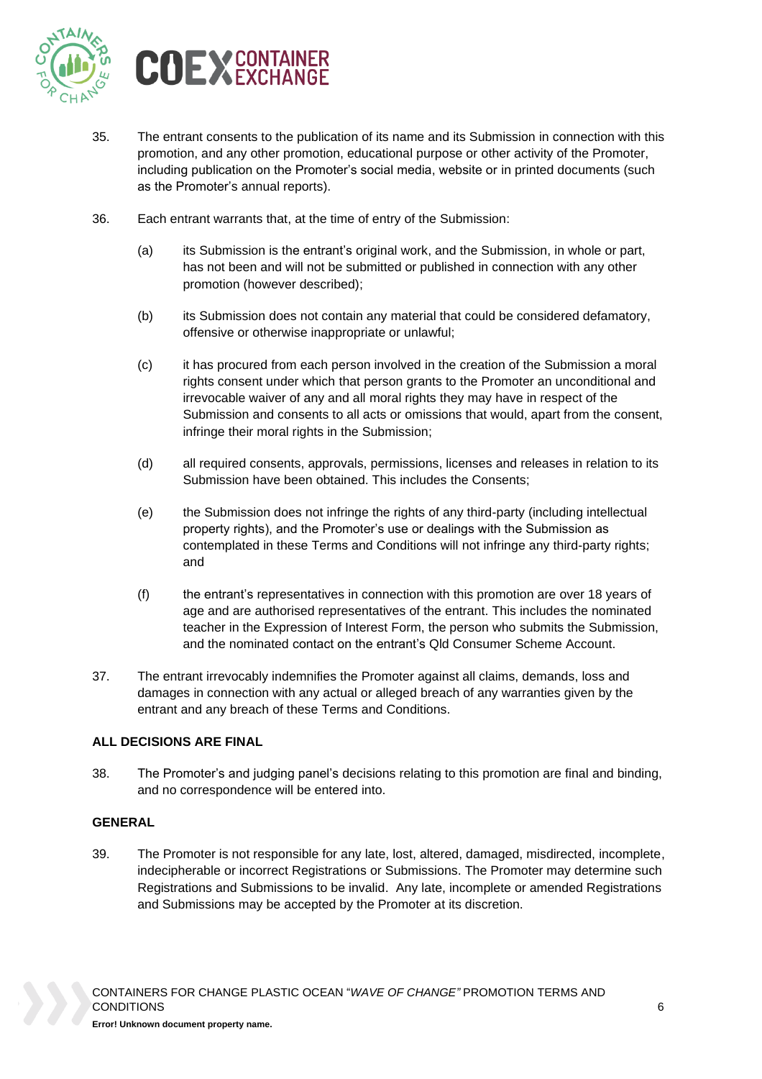



- 35. The entrant consents to the publication of its name and its Submission in connection with this promotion, and any other promotion, educational purpose or other activity of the Promoter, including publication on the Promoter's social media, website or in printed documents (such as the Promoter's annual reports).
- 36. Each entrant warrants that, at the time of entry of the Submission:
	- (a) its Submission is the entrant's original work, and the Submission, in whole or part, has not been and will not be submitted or published in connection with any other promotion (however described);
	- (b) its Submission does not contain any material that could be considered defamatory, offensive or otherwise inappropriate or unlawful;
	- (c) it has procured from each person involved in the creation of the Submission a moral rights consent under which that person grants to the Promoter an unconditional and irrevocable waiver of any and all moral rights they may have in respect of the Submission and consents to all acts or omissions that would, apart from the consent, infringe their moral rights in the Submission;
	- (d) all required consents, approvals, permissions, licenses and releases in relation to its Submission have been obtained. This includes the Consents;
	- (e) the Submission does not infringe the rights of any third-party (including intellectual property rights), and the Promoter's use or dealings with the Submission as contemplated in these Terms and Conditions will not infringe any third-party rights; and
	- (f) the entrant's representatives in connection with this promotion are over 18 years of age and are authorised representatives of the entrant. This includes the nominated teacher in the Expression of Interest Form, the person who submits the Submission, and the nominated contact on the entrant's Qld Consumer Scheme Account.
- 37. The entrant irrevocably indemnifies the Promoter against all claims, demands, loss and damages in connection with any actual or alleged breach of any warranties given by the entrant and any breach of these Terms and Conditions.

## **ALL DECISIONS ARE FINAL**

38. The Promoter's and judging panel's decisions relating to this promotion are final and binding, and no correspondence will be entered into.

#### **GENERAL**

39. The Promoter is not responsible for any late, lost, altered, damaged, misdirected, incomplete, indecipherable or incorrect Registrations or Submissions. The Promoter may determine such Registrations and Submissions to be invalid. Any late, incomplete or amended Registrations and Submissions may be accepted by the Promoter at its discretion.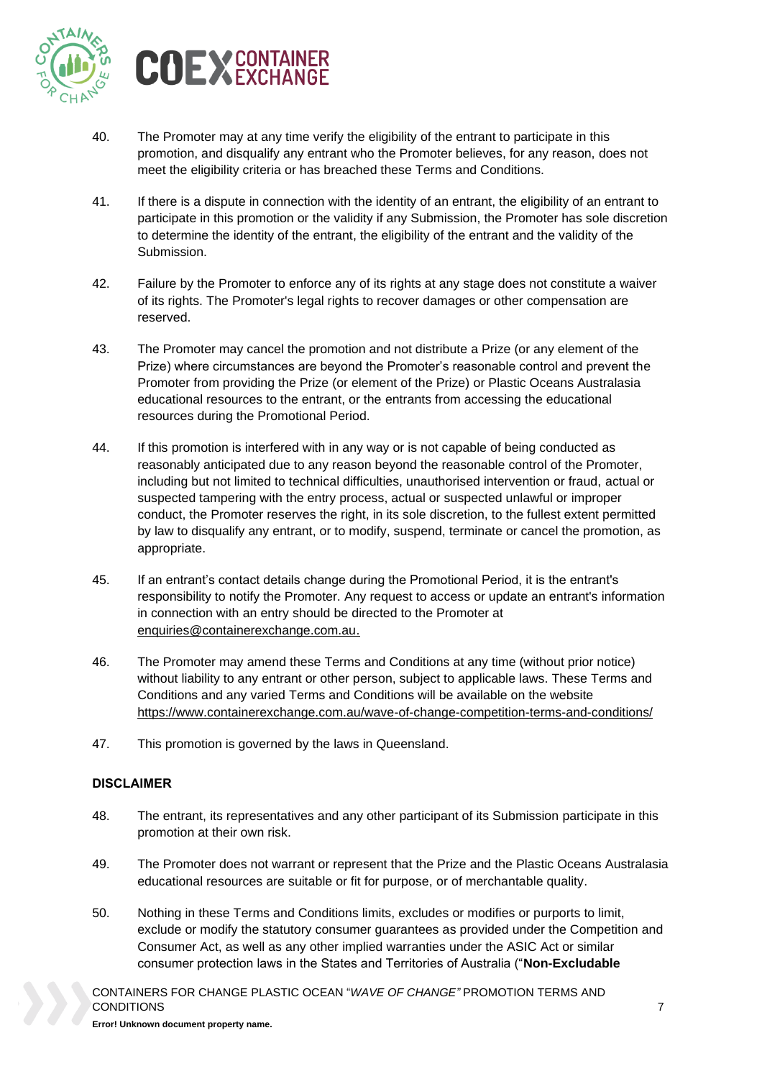



- 40. The Promoter may at any time verify the eligibility of the entrant to participate in this promotion, and disqualify any entrant who the Promoter believes, for any reason, does not meet the eligibility criteria or has breached these Terms and Conditions.
- 41. If there is a dispute in connection with the identity of an entrant, the eligibility of an entrant to participate in this promotion or the validity if any Submission, the Promoter has sole discretion to determine the identity of the entrant, the eligibility of the entrant and the validity of the Submission.
- 42. Failure by the Promoter to enforce any of its rights at any stage does not constitute a waiver of its rights. The Promoter's legal rights to recover damages or other compensation are reserved.
- 43. The Promoter may cancel the promotion and not distribute a Prize (or any element of the Prize) where circumstances are beyond the Promoter's reasonable control and prevent the Promoter from providing the Prize (or element of the Prize) or Plastic Oceans Australasia educational resources to the entrant, or the entrants from accessing the educational resources during the Promotional Period.
- 44. If this promotion is interfered with in any way or is not capable of being conducted as reasonably anticipated due to any reason beyond the reasonable control of the Promoter, including but not limited to technical difficulties, unauthorised intervention or fraud, actual or suspected tampering with the entry process, actual or suspected unlawful or improper conduct, the Promoter reserves the right, in its sole discretion, to the fullest extent permitted by law to disqualify any entrant, or to modify, suspend, terminate or cancel the promotion, as appropriate.
- 45. If an entrant's contact details change during the Promotional Period, it is the entrant's responsibility to notify the Promoter. Any request to access or update an entrant's information in connection with an entry should be directed to the Promoter at [enquiries@containerexchange.com.au.](mailto:enquiries@containerexchange.com.au)
- 46. The Promoter may amend these Terms and Conditions at any time (without prior notice) without liability to any entrant or other person, subject to applicable laws. These Terms and Conditions and any varied Terms and Conditions will be available on the website [https://www.containerexchange.com.au/wave-of-change-competition-terms-and-conditions/](https://aus01.safelinks.protection.outlook.com/?url=https%3A%2F%2Fwww.containerexchange.com.au%2Fwave-of-change-competition-terms-and-conditions%2F&data=02%7C01%7C%7C9326689214ba4ff1655208d848bf26f6%7C146bdb1333114772825408cc5909f701%7C0%7C0%7C637339333139741632&sdata=XL8V4OYpDHByZWd1ikPMvfmozAvOEDJb8VdQDOpEbjM%3D&reserved=0)
- 47. This promotion is governed by the laws in Queensland.

## **DISCLAIMER**

- 48. The entrant, its representatives and any other participant of its Submission participate in this promotion at their own risk.
- 49. The Promoter does not warrant or represent that the Prize and the Plastic Oceans Australasia educational resources are suitable or fit for purpose, or of merchantable quality.
- 50. Nothing in these Terms and Conditions limits, excludes or modifies or purports to limit, exclude or modify the statutory consumer guarantees as provided under the Competition and Consumer Act, as well as any other implied warranties under the ASIC Act or similar consumer protection laws in the States and Territories of Australia ("**Non-Excludable**